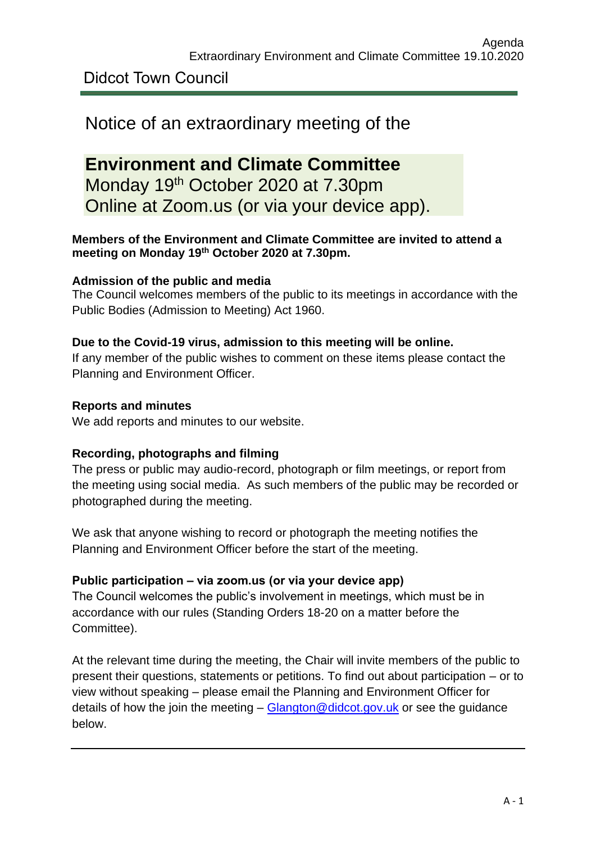Didcot Town Council

# Notice of an extraordinary meeting of the

**Environment and Climate Committee** Monday 19<sup>th</sup> October 2020 at 7.30pm Online at Zoom.us (or via your device app).

# **Members of the Environment and Climate Committee are invited to attend a meeting on Monday 19th October 2020 at 7.30pm.**

# **Admission of the public and media**

The Council welcomes members of the public to its meetings in accordance with the Public Bodies (Admission to Meeting) Act 1960.

## **Due to the Covid-19 virus, admission to this meeting will be online.**

If any member of the public wishes to comment on these items please contact the Planning and Environment Officer.

## **Reports and minutes**

We add reports and minutes to our website.

# **Recording, photographs and filming**

The press or public may audio-record, photograph or film meetings, or report from the meeting using social media. As such members of the public may be recorded or photographed during the meeting.

We ask that anyone wishing to record or photograph the meeting notifies the Planning and Environment Officer before the start of the meeting.

# **Public participation – via zoom.us (or via your device app)**

The Council welcomes the public's involvement in meetings, which must be in accordance with our rules (Standing Orders 18-20 on a matter before the Committee).

At the relevant time during the meeting, the Chair will invite members of the public to present their questions, statements or petitions. To find out about participation – or to view without speaking – please email the Planning and Environment Officer for details of how the join the meeting  $-$  Glangton @didcot.gov.uk or see the quidance below.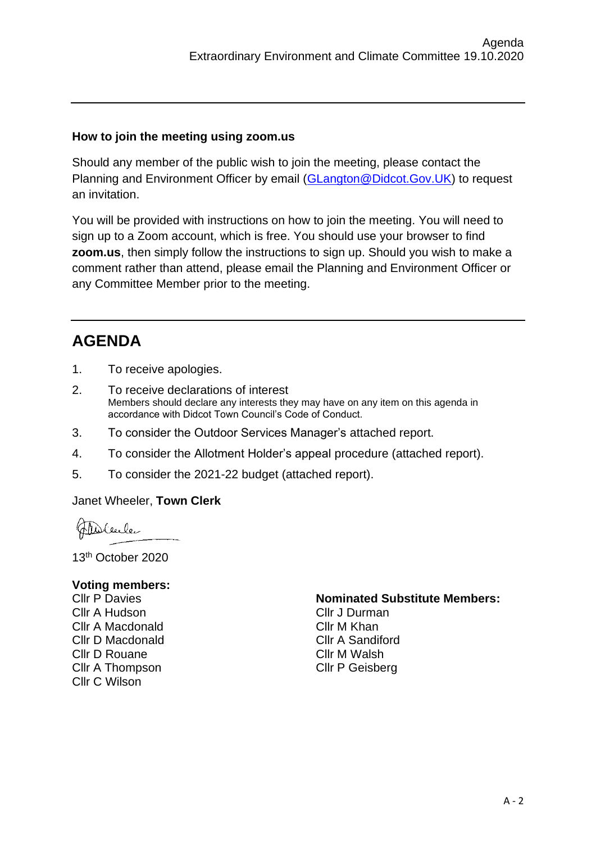#### **How to join the meeting using zoom.us**

Should any member of the public wish to join the meeting, please contact the Planning and Environment Officer by email [\(GLangton@Didcot.Gov.UK\)](mailto:GLangton@Didcot.Gov.UK) to request an invitation.

You will be provided with instructions on how to join the meeting. You will need to sign up to a Zoom account, which is free. You should use your browser to find **zoom.us**, then simply follow the instructions to sign up. Should you wish to make a comment rather than attend, please email the Planning and Environment Officer or any Committee Member prior to the meeting.

# **AGENDA**

- 1. To receive apologies.
- 2. To receive declarations of interest Members should declare any interests they may have on any item on this agenda in accordance with Didcot Town Council's Code of Conduct.
- 3. To consider the Outdoor Services Manager's attached report.
- 4. To consider the Allotment Holder's appeal procedure (attached report).
- 5. To consider the 2021-22 budget (attached report).

#### Janet Wheeler, **Town Clerk**

Ansleecle

13 th October 2020

#### **Voting members:**

Cllr P Davies Cllr A Hudson Cllr A Macdonald Cllr D Macdonald Cllr D Rouane Cllr A Thompson Cllr C Wilson

#### **Nominated Substitute Members:**

Cllr J Durman Cllr M Khan Cllr A Sandiford Cllr M Walsh Cllr P Geisberg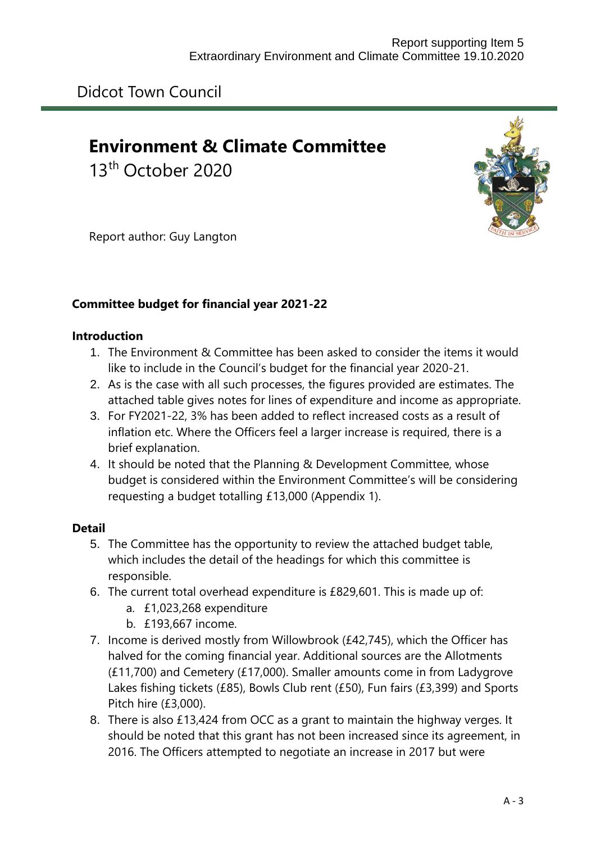# **Environment & Climate Committee**

13th October 2020



Report author: Guy Langton

# **Committee budget for financial year 2021-22**

## **Introduction**

- 1. The Environment & Committee has been asked to consider the items it would like to include in the Council's budget for the financial year 2020-21.
- 2. As is the case with all such processes, the figures provided are estimates. The attached table gives notes for lines of expenditure and income as appropriate.
- 3. For FY2021-22, 3% has been added to reflect increased costs as a result of inflation etc. Where the Officers feel a larger increase is required, there is a brief explanation.
- 4. It should be noted that the Planning & Development Committee, whose budget is considered within the Environment Committee's will be considering requesting a budget totalling £13,000 (Appendix 1).

# **Detail**

- 5. The Committee has the opportunity to review the attached budget table, which includes the detail of the headings for which this committee is responsible.
- 6. The current total overhead expenditure is £829,601. This is made up of:
	- a. £1,023,268 expenditure
	- b. £193,667 income.
- 7. Income is derived mostly from Willowbrook (£42,745), which the Officer has halved for the coming financial year. Additional sources are the Allotments (£11,700) and Cemetery (£17,000). Smaller amounts come in from Ladygrove Lakes fishing tickets (£85), Bowls Club rent (£50), Fun fairs (£3,399) and Sports Pitch hire (£3,000).
- 8. There is also £13,424 from OCC as a grant to maintain the highway verges. It should be noted that this grant has not been increased since its agreement, in 2016. The Officers attempted to negotiate an increase in 2017 but were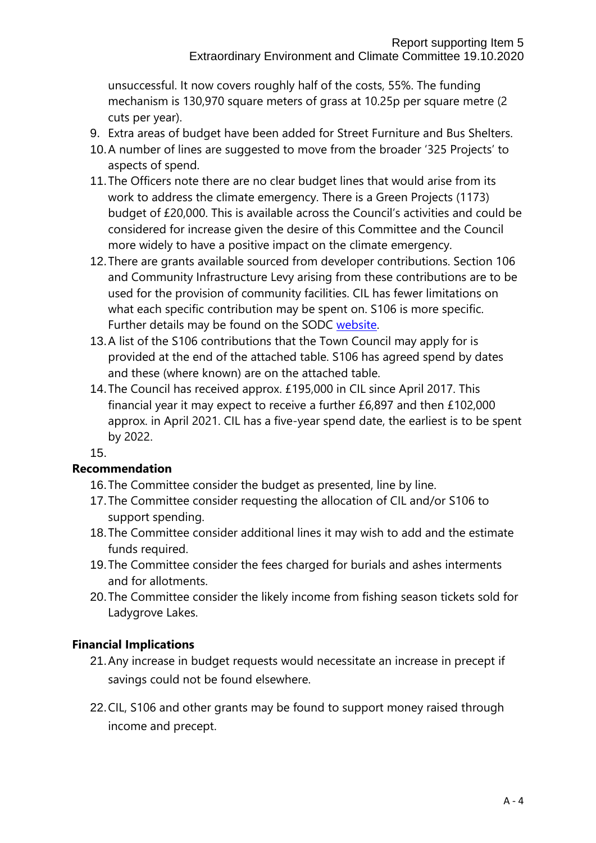unsuccessful. It now covers roughly half of the costs, 55%. The funding mechanism is 130,970 square meters of grass at 10.25p per square metre (2 cuts per year).

- 9. Extra areas of budget have been added for Street Furniture and Bus Shelters.
- 10.A number of lines are suggested to move from the broader '325 Projects' to aspects of spend.
- 11.The Officers note there are no clear budget lines that would arise from its work to address the climate emergency. There is a Green Projects (1173) budget of £20,000. This is available across the Council's activities and could be considered for increase given the desire of this Committee and the Council more widely to have a positive impact on the climate emergency.
- 12.There are grants available sourced from developer contributions. Section 106 and Community Infrastructure Levy arising from these contributions are to be used for the provision of community facilities. CIL has fewer limitations on what each specific contribution may be spent on. S106 is more specific. Further details may be found on the SODC [website.](https://www.southoxon.gov.uk/south-oxfordshire-district-council/community-support/infrastructure-to-support-communities/)
- 13.A list of the S106 contributions that the Town Council may apply for is provided at the end of the attached table. S106 has agreed spend by dates and these (where known) are on the attached table.
- 14.The Council has received approx. £195,000 in CIL since April 2017. This financial year it may expect to receive a further £6,897 and then £102,000 approx. in April 2021. CIL has a five-year spend date, the earliest is to be spent by 2022.

15.

#### **Recommendation**

- 16.The Committee consider the budget as presented, line by line.
- 17.The Committee consider requesting the allocation of CIL and/or S106 to support spending.
- 18.The Committee consider additional lines it may wish to add and the estimate funds required.
- 19.The Committee consider the fees charged for burials and ashes interments and for allotments.
- 20.The Committee consider the likely income from fishing season tickets sold for Ladygrove Lakes.

#### **Financial Implications**

- 21.Any increase in budget requests would necessitate an increase in precept if savings could not be found elsewhere.
- 22.CIL, S106 and other grants may be found to support money raised through income and precept.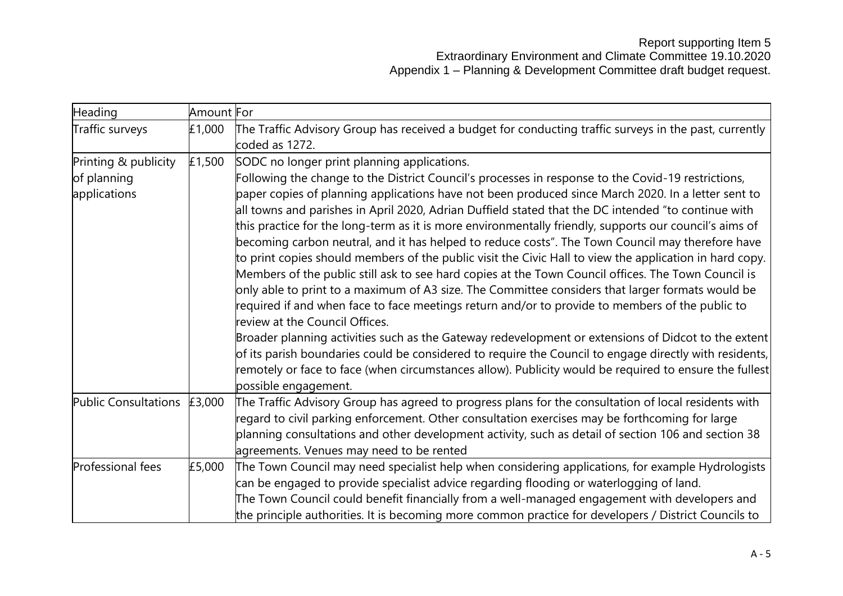| Heading              | Amount For |                                                                                                                                                                                                                |
|----------------------|------------|----------------------------------------------------------------------------------------------------------------------------------------------------------------------------------------------------------------|
| Traffic surveys      | £1,000     | The Traffic Advisory Group has received a budget for conducting traffic surveys in the past, currently<br>coded as 1272.                                                                                       |
| Printing & publicity | £1,500     | SODC no longer print planning applications.                                                                                                                                                                    |
| of planning          |            | Following the change to the District Council's processes in response to the Covid-19 restrictions,                                                                                                             |
| applications         |            | paper copies of planning applications have not been produced since March 2020. In a letter sent to                                                                                                             |
|                      |            | all towns and parishes in April 2020, Adrian Duffield stated that the DC intended "to continue with                                                                                                            |
|                      |            | this practice for the long-term as it is more environmentally friendly, supports our council's aims of                                                                                                         |
|                      |            | becoming carbon neutral, and it has helped to reduce costs". The Town Council may therefore have                                                                                                               |
|                      |            | to print copies should members of the public visit the Civic Hall to view the application in hard copy.<br>Members of the public still ask to see hard copies at the Town Council offices. The Town Council is |
|                      |            | only able to print to a maximum of A3 size. The Committee considers that larger formats would be                                                                                                               |
|                      |            | required if and when face to face meetings return and/or to provide to members of the public to                                                                                                                |
|                      |            | review at the Council Offices.                                                                                                                                                                                 |
|                      |            | Broader planning activities such as the Gateway redevelopment or extensions of Didcot to the extent                                                                                                            |
|                      |            | of its parish boundaries could be considered to require the Council to engage directly with residents,                                                                                                         |
|                      |            | remotely or face to face (when circumstances allow). Publicity would be required to ensure the fullest                                                                                                         |
|                      |            | possible engagement.                                                                                                                                                                                           |
| Public Consultations | £3,000     | The Traffic Advisory Group has agreed to progress plans for the consultation of local residents with                                                                                                           |
|                      |            | regard to civil parking enforcement. Other consultation exercises may be forthcoming for large                                                                                                                 |
|                      |            | planning consultations and other development activity, such as detail of section 106 and section 38                                                                                                            |
|                      |            | agreements. Venues may need to be rented                                                                                                                                                                       |
| Professional fees    | £5,000     | The Town Council may need specialist help when considering applications, for example Hydrologists                                                                                                              |
|                      |            | can be engaged to provide specialist advice regarding flooding or waterlogging of land.                                                                                                                        |
|                      |            | The Town Council could benefit financially from a well-managed engagement with developers and                                                                                                                  |
|                      |            | the principle authorities. It is becoming more common practice for developers / District Councils to                                                                                                           |